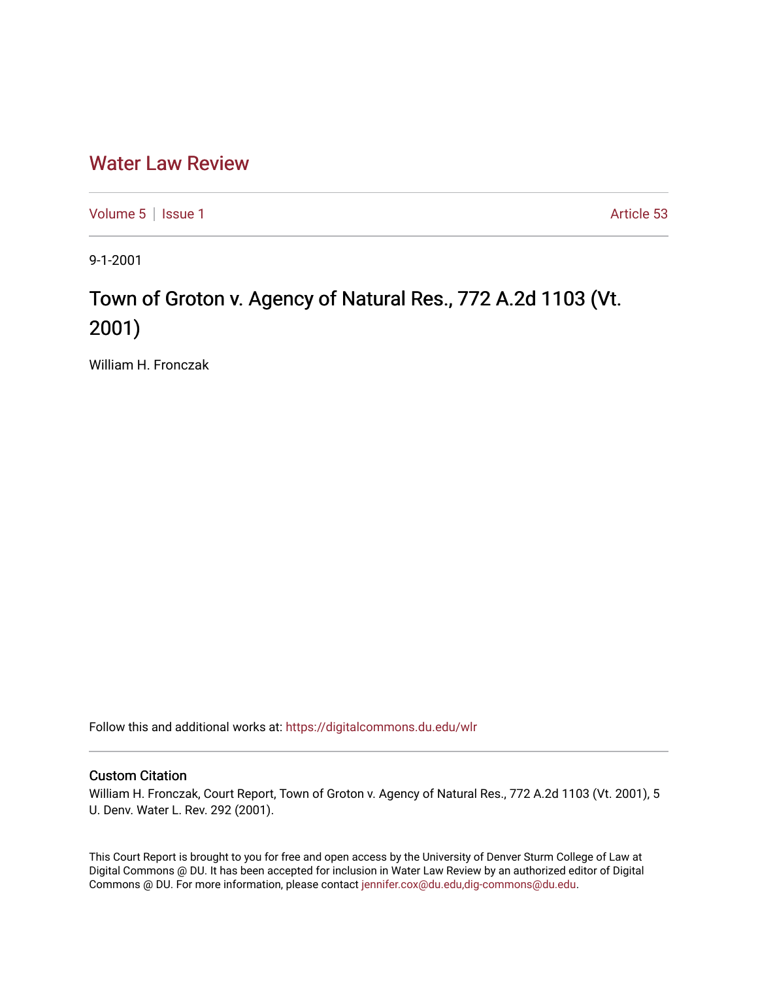## [Water Law Review](https://digitalcommons.du.edu/wlr)

[Volume 5](https://digitalcommons.du.edu/wlr/vol5) | [Issue 1](https://digitalcommons.du.edu/wlr/vol5/iss1) Article 53

9-1-2001

## Town of Groton v. Agency of Natural Res., 772 A.2d 1103 (Vt. 2001)

William H. Fronczak

Follow this and additional works at: [https://digitalcommons.du.edu/wlr](https://digitalcommons.du.edu/wlr?utm_source=digitalcommons.du.edu%2Fwlr%2Fvol5%2Fiss1%2F53&utm_medium=PDF&utm_campaign=PDFCoverPages) 

## Custom Citation

William H. Fronczak, Court Report, Town of Groton v. Agency of Natural Res., 772 A.2d 1103 (Vt. 2001), 5 U. Denv. Water L. Rev. 292 (2001).

This Court Report is brought to you for free and open access by the University of Denver Sturm College of Law at Digital Commons @ DU. It has been accepted for inclusion in Water Law Review by an authorized editor of Digital Commons @ DU. For more information, please contact [jennifer.cox@du.edu,dig-commons@du.edu.](mailto:jennifer.cox@du.edu,dig-commons@du.edu)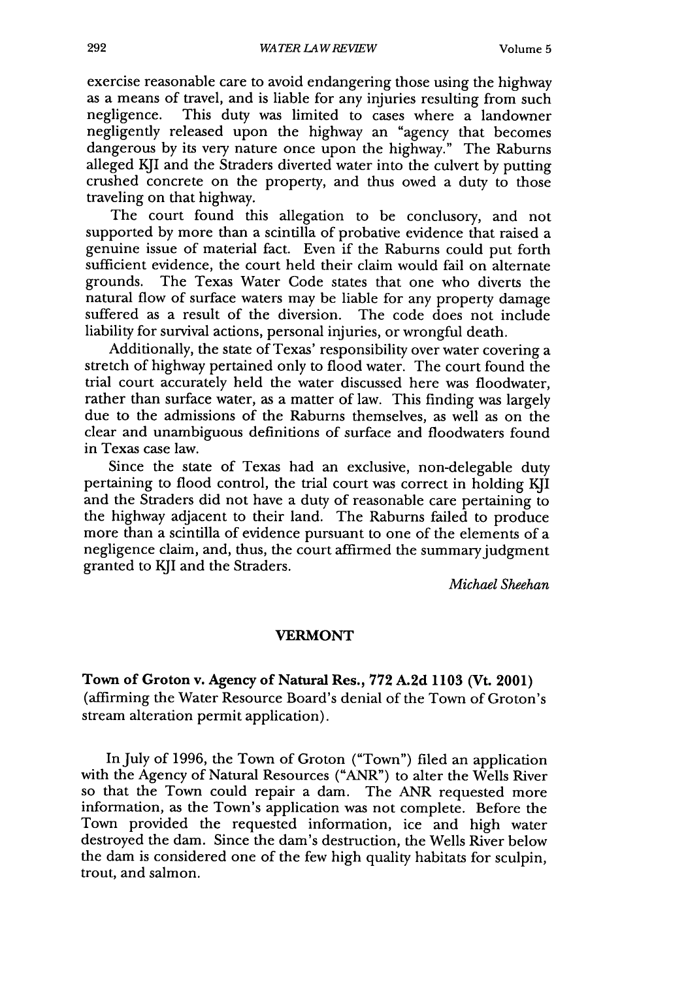exercise reasonable care to avoid endangering those using the highway as a means of travel, and is liable for any injuries resulting from such negligence. This duty was limited to cases where a landowner This duty was limited to cases where a landowner negligently released upon the highway an "agency that becomes dangerous by its very nature once upon the highway." The Raburns alleged KJI and the Straders diverted water into the culvert by putting crushed concrete on the property, and thus owed a duty to those traveling on that highway.

The court found this allegation to be conclusory, and not supported by more than a scintilla of probative evidence that raised a genuine issue of material fact. Even if the Raburns could put forth sufficient evidence, the court held their claim would fail on alternate grounds. The Texas Water Code states that one who diverts the natural flow of surface waters may be liable for any property damage suffered as a result of the diversion. The code does not include liability for survival actions, personal injuries, or wrongful death.

Additionally, the state of Texas' responsibility over water covering a stretch of highway pertained only to flood water. The court found the trial court accurately held the water discussed here was floodwater, rather than surface water, as a matter of law. This finding was largely due to the admissions of the Raburns themselves, as well as on the clear and unambiguous definitions of surface and floodwaters found in Texas case law.

Since the state of Texas had an exclusive, non-delegable duty pertaining to flood control, the trial court was correct in holding KJI and the Straders did not have a duty of reasonable care pertaining to the highway adjacent to their land. The Raburns failed to produce more than a scintilla of evidence pursuant to one of the elements of a negligence claim, and, thus, the court affirmed the summary judgment granted to KJI and the Straders.

*Michael Sheehan*

## **VERMONT**

Town of **Groton v. Agency of Natural Res., 772 A.2d 1103 (Vt. 2001)** (affirming the Water Resource Board's denial of the Town of Groton's stream alteration permit application).

In July of **1996,** the Town of Groton ("Town") filed an application with the Agency of Natural Resources ("ANR") to alter the Wells River so that the Town could repair a dam. The ANR requested more information, as the Town's application was not complete. Before the Town provided the requested information, ice and high water destroyed the dam. Since the dam's destruction, the Wells River below the dam is considered one of the few high quality habitats for sculpin, trout, and salmon.